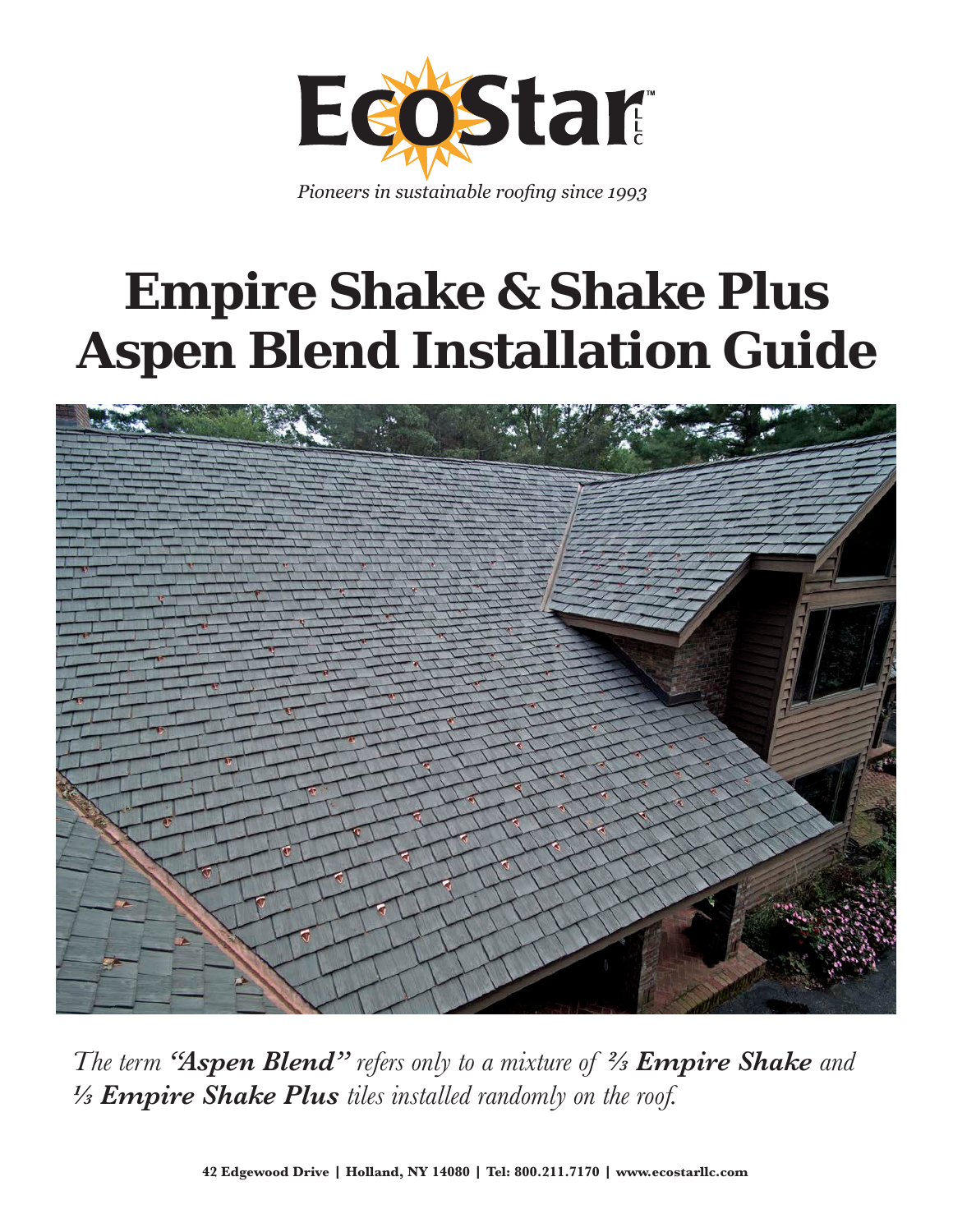

*Pioneers in sustainable roofing since 1993*

# **Empire Shake & Shake Plus Aspen Blend Installation Guide**



*The term "Aspen Blend" refers only to a mixture of 2/3 Empire Shake and 1/3 Empire Shake Plus tiles installed randomly on the roof.*